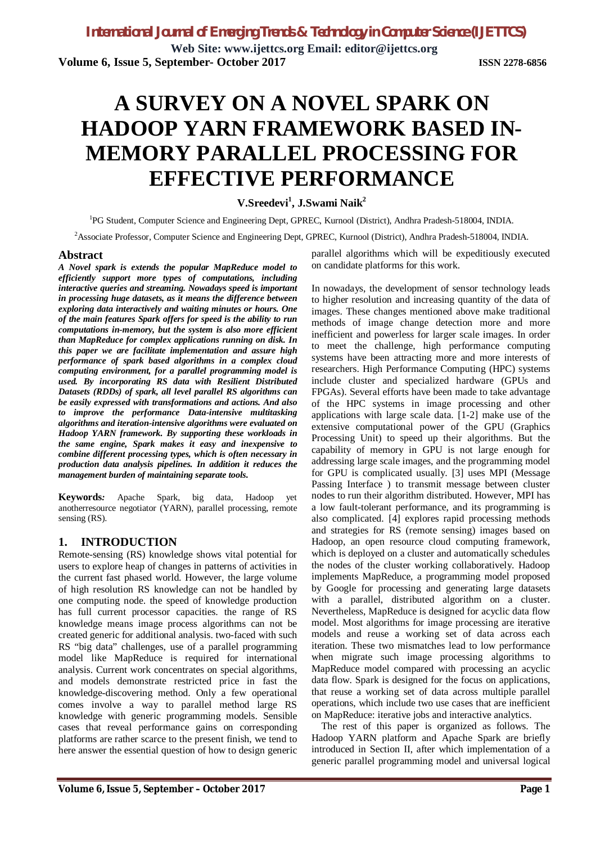**Web Site: www.ijettcs.org Email: editor@ijettcs.org Volume 6, Issue 5, September- October 2017 ISSN 2278-6856**

# **A SURVEY ON A NOVEL SPARK ON HADOOP YARN FRAMEWORK BASED IN-MEMORY PARALLEL PROCESSING FOR EFFECTIVE PERFORMANCE**

**V.Sreedevi<sup>1</sup> , J.Swami Naik<sup>2</sup>**

<sup>1</sup>PG Student, Computer Science and Engineering Dept, GPREC, Kurnool (District), Andhra Pradesh-518004, INDIA.

<sup>2</sup>Associate Professor, Computer Science and Engineering Dept, GPREC, Kurnool (District), Andhra Pradesh-518004, INDIA.

#### **Abstract**

*A Novel spark is extends the popular MapReduce model to efficiently support more types of computations, including interactive queries and streaming. Nowadays speed is important in processing huge datasets, as it means the difference between exploring data interactively and waiting minutes or hours. One of the main features Spark offers for speed is the ability to run computations in-memory, but the system is also more efficient than MapReduce for complex applications running on disk. In this paper we are facilitate implementation and assure high performance of spark based algorithms in a complex cloud computing environment, for a parallel programming model is used. By incorporating RS data with Resilient Distributed Datasets (RDDs) of spark, all level parallel RS algorithms can be easily expressed with transformations and actions. And also to improve the performance Data-intensive multitasking algorithms and iteration-intensive algorithms were evaluated on Hadoop YARN framework. By supporting these workloads in the same engine, Spark makes it easy and inexpensive to combine different processing types, which is often necessary in production data analysis pipelines. In addition it reduces the management burden of maintaining separate tools.*

**Keywords***:* Apache Spark, big data, Hadoop yet anotherresource negotiator (YARN), parallel processing, remote sensing (RS).

# **1. INTRODUCTION**

Remote-sensing (RS) knowledge shows vital potential for users to explore heap of changes in patterns of activities in the current fast phased world. However, the large volume of high resolution RS knowledge can not be handled by one computing node. the speed of knowledge production has full current processor capacities. the range of RS knowledge means image process algorithms can not be created generic for additional analysis. two-faced with such RS "big data" challenges, use of a parallel programming model like MapReduce is required for international analysis. Current work concentrates on special algorithms, and models demonstrate restricted price in fast the knowledge-discovering method. Only a few operational comes involve a way to parallel method large RS knowledge with generic programming models. Sensible cases that reveal performance gains on corresponding platforms are rather scarce to the present finish, we tend to here answer the essential question of how to design generic

parallel algorithms which will be expeditiously executed on candidate platforms for this work.

In nowadays, the development of sensor technology leads to higher resolution and increasing quantity of the data of images. These changes mentioned above make traditional methods of image change detection more and more inefficient and powerless for larger scale images. In order to meet the challenge, high performance computing systems have been attracting more and more interests of researchers. High Performance Computing (HPC) systems include cluster and specialized hardware (GPUs and FPGAs). Several efforts have been made to take advantage of the HPC systems in image processing and other applications with large scale data. [1-2] make use of the extensive computational power of the GPU (Graphics Processing Unit) to speed up their algorithms. But the capability of memory in GPU is not large enough for addressing large scale images, and the programming model for GPU is complicated usually. [3] uses MPI (Message Passing Interface ) to transmit message between cluster nodes to run their algorithm distributed. However, MPI has a low fault-tolerant performance, and its programming is also complicated. [4] explores rapid processing methods and strategies for RS (remote sensing) images based on Hadoop, an open resource cloud computing framework, which is deployed on a cluster and automatically schedules the nodes of the cluster working collaboratively. Hadoop implements MapReduce, a programming model proposed by Google for processing and generating large datasets with a parallel, distributed algorithm on a cluster. Nevertheless, MapReduce is designed for acyclic data flow model. Most algorithms for image processing are iterative models and reuse a working set of data across each iteration. These two mismatches lead to low performance when migrate such image processing algorithms to MapReduce model compared with processing an acyclic data flow. Spark is designed for the focus on applications, that reuse a working set of data across multiple parallel operations, which include two use cases that are inefficient on MapReduce: iterative jobs and interactive analytics.

The rest of this paper is organized as follows. The Hadoop YARN platform and Apache Spark are briefly introduced in Section II, after which implementation of a generic parallel programming model and universal logical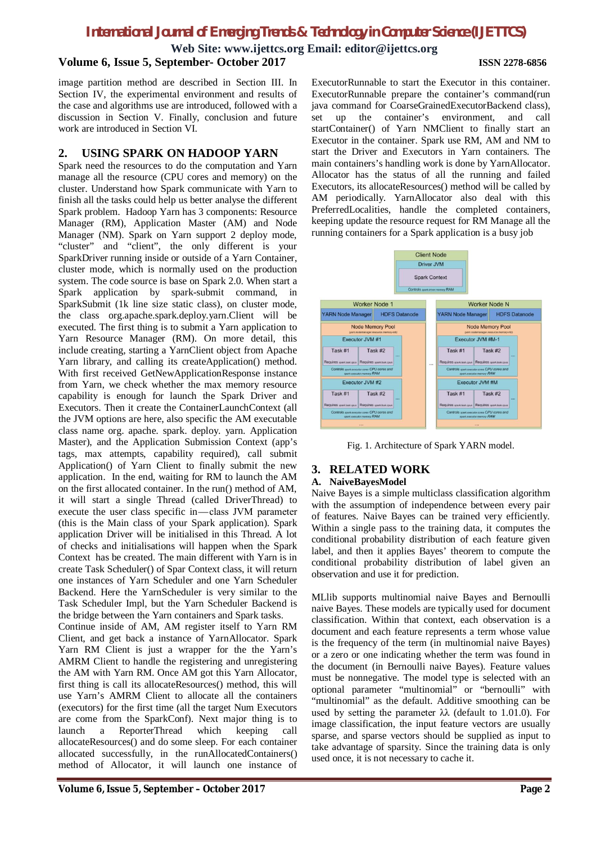**Web Site: www.ijettcs.org Email: editor@ijettcs.org**

# **Volume 6, Issue 5, September- October 2017 ISSN 2278-6856**

image partition method are described in Section III. In Section IV, the experimental environment and results of the case and algorithms use are introduced, followed with a discussion in Section V. Finally, conclusion and future work are introduced in Section VI.

#### **2. USING SPARK ON HADOOP YARN**

Spark need the resources to do the computation and Yarn manage all the resource (CPU cores and memory) on the cluster. Understand how Spark communicate with Yarn to finish all the tasks could help us better analyse the different Spark problem. Hadoop Yarn has 3 components: Resource Manager (RM), Application Master (AM) and Node Manager (NM). Spark on Yarn support 2 deploy mode, "cluster" and "client", the only different is your SparkDriver running inside or outside of a Yarn Container, cluster mode, which is normally used on the production system. The code source is base on Spark 2.0. When start a Spark application by spark-submit command, in SparkSubmit (1k line size static class), on cluster mode, the class org.apache.spark.deploy.yarn.Client will be executed. The first thing is to submit a Yarn application to Yarn Resource Manager (RM). On more detail, this include creating, starting a YarnClient object from Apache Yarn library, and calling its createApplication() method. With first received GetNewApplicationResponse instance from Yarn, we check whether the max memory resource capability is enough for launch the Spark Driver and Executors. Then it create the ContainerLaunchContext (all the JVM options are here, also specific the AM executable class name org. apache. spark. deploy. yarn. Application Master), and the Application Submission Context (app's tags, max attempts, capability required), call submit Application() of Yarn Client to finally submit the new application. In the end, waiting for RM to launch the AM on the first allocated container. In the run() method of AM, it will start a single Thread (called DriverThread) to execute the user class specific in— class JVM parameter (this is the Main class of your Spark application). Spark application Driver will be initialised in this Thread. A lot of checks and initialisations will happen when the Spark Context has be created. The main different with Yarn is in create Task Scheduler() of Spar Context class, it will return one instances of Yarn Scheduler and one Yarn Scheduler Backend. Here the YarnScheduler is very similar to the Task Scheduler Impl, but the Yarn Scheduler Backend is the bridge between the Yarn containers and Spark tasks.

Continue inside of AM, AM register itself to Yarn RM Client, and get back a instance of YarnAllocator. Spark Yarn RM Client is just a wrapper for the the Yarn's AMRM Client to handle the registering and unregistering the AM with Yarn RM. Once AM got this Yarn Allocator, first thing is call its allocateResources() method, this will use Yarn's AMRM Client to allocate all the containers (executors) for the first time (all the target Num Executors are come from the SparkConf). Next major thing is to launch a ReporterThread which keeping call allocateResources() and do some sleep. For each container allocated successfully, in the runAllocatedContainers() method of Allocator, it will launch one instance of

ExecutorRunnable to start the Executor in this container. ExecutorRunnable prepare the container's command(run java command for CoarseGrainedExecutorBackend class), set up the container's environment, and call startContainer() of Yarn NMClient to finally start an Executor in the container. Spark use RM, AM and NM to start the Driver and Executors in Yarn containers. The main containers's handling work is done by YarnAllocator. Allocator has the status of all the running and failed Executors, its allocateResources() method will be called by AM periodically. YarnAllocator also deal with this PreferredLocalities, handle the completed containers, keeping update the resource request for RM Manage all the running containers for a Spark application is a busy job



Fig. 1. Architecture of Spark YARN model.

# **3. RELATED WORK**

#### **A. NaiveBayesModel**

Naive Bayes is a simple multiclass classification algorithm with the assumption of independence between every pair of features. Naive Bayes can be trained very efficiently. Within a single pass to the training data, it computes the conditional probability distribution of each feature given label, and then it applies Bayes' theorem to compute the conditional probability distribution of label given an observation and use it for prediction.

MLlib supports multinomial naive Bayes and Bernoulli naive Bayes. These models are typically used for document classification. Within that context, each observation is a document and each feature represents a term whose value is the frequency of the term (in multinomial naive Bayes) or a zero or one indicating whether the term was found in the document (in Bernoulli naive Bayes). Feature values must be nonnegative. The model type is selected with an optional parameter "multinomial" or "bernoulli" with "multinomial" as the default. Additive smoothing can be used by setting the parameter  $\lambda \lambda$  (default to 1.01.0). For image classification, the input feature vectors are usually sparse, and sparse vectors should be supplied as input to take advantage of sparsity. Since the training data is only used once, it is not necessary to cache it.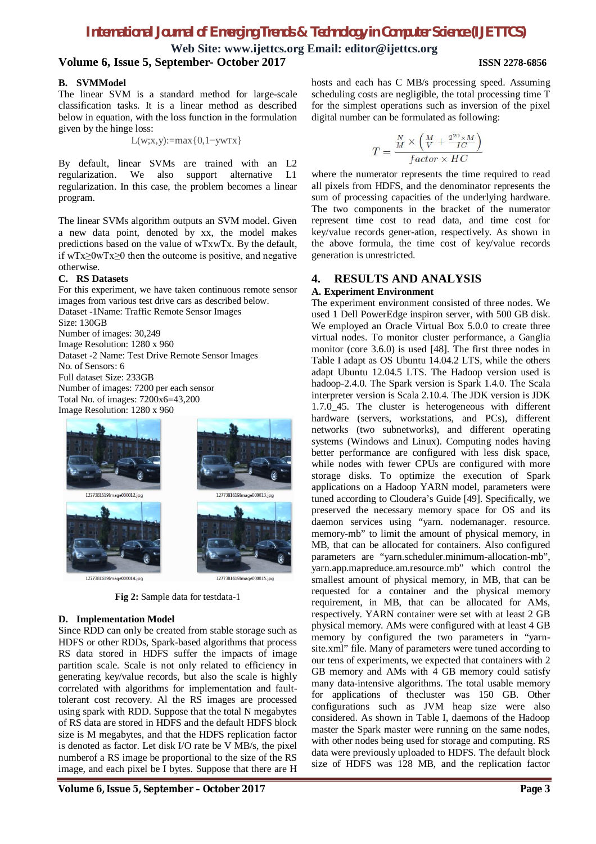**Web Site: www.ijettcs.org Email: editor@ijettcs.org Volume 6, Issue 5, September- October 2017 ISSN 2278-6856**

#### **B. SVMModel**

The linear SVM is a standard method for large-scale classification tasks. It is a linear method as described below in equation, with the loss function in the formulation given by the hinge loss:

$$
L(w;x,y):=max\{0,1-ywTx\}
$$

By default, linear SVMs are trained with an L2 regularization. We also support alternative L1 regularization. In this case, the problem becomes a linear program.

The linear SVMs algorithm outputs an SVM model. Given a new data point, denoted by xx, the model makes predictions based on the value of wTxwTx. By the default, if wTx≥0wTx≥0 then the outcome is positive, and negative otherwise.

#### **C. RS Datasets**

For this experiment, we have taken continuous remote sensor images from various test drive cars as described below. Dataset -1Name: Traffic Remote Sensor Images Size: 130GB Number of images: 30,249 Image Resolution: 1280 x 960 Dataset -2 Name: Test Drive Remote Sensor Images No. of Sensors: 6 Full dataset Size: 233GB Number of images: 7200 per each sensor Total No. of images: 7200x6=43,200 Image Resolution: 1280 x 960



**Fig 2:** Sample data for testdata-1

#### **D. Implementation Model**

Since RDD can only be created from stable storage such as HDFS or other RDDs, Spark-based algorithms that process RS data stored in HDFS suffer the impacts of image partition scale. Scale is not only related to efficiency in generating key/value records, but also the scale is highly correlated with algorithms for implementation and faulttolerant cost recovery. Al the RS images are processed using spark with RDD. Suppose that the total N megabytes of RS data are stored in HDFS and the default HDFS block size is M megabytes, and that the HDFS replication factor is denoted as factor. Let disk I/O rate be V MB/s, the pixel numberof a RS image be proportional to the size of the RS image, and each pixel be I bytes. Suppose that there are H

hosts and each has C MB/s processing speed. Assuming scheduling costs are negligible, the total processing time T for the simplest operations such as inversion of the pixel digital number can be formulated as following:

$$
T = \frac{\frac{N}{M} \times \left(\frac{M}{V} + \frac{2^{20} \times M}{IC}\right)}{factor \times HC}
$$

where the numerator represents the time required to read all pixels from HDFS, and the denominator represents the sum of processing capacities of the underlying hardware. The two components in the bracket of the numerator represent time cost to read data, and time cost for key/value records gener-ation, respectively. As shown in the above formula, the time cost of key/value records generation is unrestricted.

# **4. RESULTS AND ANALYSIS**

#### **A. Experiment Environment**

The experiment environment consisted of three nodes. We used 1 Dell PowerEdge inspiron server, with 500 GB disk. We employed an Oracle Virtual Box 5.0.0 to create three virtual nodes. To monitor cluster performance, a Ganglia monitor (core 3.6.0) is used [48]. The first three nodes in Table I adapt as OS Ubuntu 14.04.2 LTS, while the others adapt Ubuntu 12.04.5 LTS. The Hadoop version used is hadoop-2.4.0. The Spark version is Spark 1.4.0. The Scala interpreter version is Scala 2.10.4. The JDK version is JDK 1.7.0\_45. The cluster is heterogeneous with different hardware (servers, workstations, and PCs), different networks (two subnetworks), and different operating systems (Windows and Linux). Computing nodes having better performance are configured with less disk space, while nodes with fewer CPUs are configured with more storage disks. To optimize the execution of Spark applications on a Hadoop YARN model, parameters were tuned according to Cloudera's Guide [49]. Specifically, we preserved the necessary memory space for OS and its daemon services using "yarn. nodemanager. resource. memory-mb" to limit the amount of physical memory, in MB, that can be allocated for containers. Also configured parameters are "yarn.scheduler.minimum-allocation-mb", yarn.app.mapreduce.am.resource.mb" which control the smallest amount of physical memory, in MB, that can be requested for a container and the physical memory requirement, in MB, that can be allocated for AMs, respectively. YARN container were set with at least 2 GB physical memory. AMs were configured with at least 4 GB memory by configured the two parameters in "yarnsite.xml" file. Many of parameters were tuned according to our tens of experiments, we expected that containers with 2 GB memory and AMs with 4 GB memory could satisfy many data-intensive algorithms. The total usable memory for applications of thecluster was 150 GB. Other configurations such as JVM heap size were also considered. As shown in Table I, daemons of the Hadoop master the Spark master were running on the same nodes, with other nodes being used for storage and computing. RS data were previously uploaded to HDFS. The default block size of HDFS was 128 MB, and the replication factor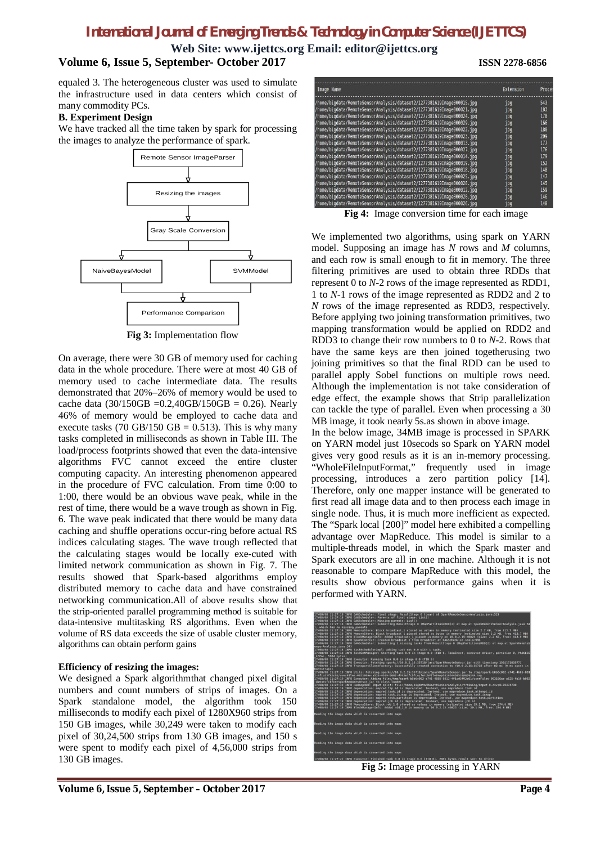**Web Site: www.ijettcs.org Email: editor@ijettcs.org**

# **Volume 6, Issue 5, September- October 2017 ISSN 2278-6856**

equaled 3. The heterogeneous cluster was used to simulate the infrastructure used in data centers which consist of many commodity PCs.

#### **B. Experiment Design**

We have tracked all the time taken by spark for processing the images to analyze the performance of spark.



**Fig 3:** Implementation flow

On average, there were 30 GB of memory used for caching data in the whole procedure. There were at most 40 GB of memory used to cache intermediate data. The results demonstrated that 20%–26% of memory would be used to cache data (30/150GB = 0.2,40GB/150GB = 0.26). Nearly 46% of memory would be employed to cache data and execute tasks (70 GB/150 GB = 0.513). This is why many tasks completed in milliseconds as shown in Table III. The load/process footprints showed that even the data-intensive algorithms FVC cannot exceed the entire cluster computing capacity. An interesting phenomenon appeared in the procedure of FVC calculation. From time 0:00 to 1:00, there would be an obvious wave peak, while in the rest of time, there would be a wave trough as shown in Fig. 6. The wave peak indicated that there would be many data caching and shuffle operations occur-ring before actual RS indices calculating stages. The wave trough reflected that the calculating stages would be locally exe-cuted with limited network communication as shown in Fig. 7. The results showed that Spark-based algorithms employ distributed memory to cache data and have constrained networking communication.All of above results show that the strip-oriented parallel programming method is suitable for data-intensive multitasking RS algorithms. Even when the volume of RS data exceeds the size of usable cluster memory, algorithms can obtain perform gains

#### **Efficiency of resizing the images:**

We designed a Spark algorithmthat changed pixel digital numbers and count numbers of strips of images. On a Spark standalone model, the algorithm took 150 milliseconds to modify each pixel of 1280X960 strips from 150 GB images, while 30,249 were taken to modify each pixel of 30,24,500 strips from 130 GB images, and 150 s were spent to modify each pixel of 4,56,000 strips from 130 GB images.



**Fig 4:** Image conversion time for each image

We implemented two algorithms, using spark on YARN model. Supposing an image has *N* rows and *M* columns, and each row is small enough to fit in memory. The three filtering primitives are used to obtain three RDDs that represent 0 to *N*-2 rows of the image represented as RDD1, 1 to *N*-1 rows of the image represented as RDD2 and 2 to *N* rows of the image represented as RDD3, respectively. Before applying two joining transformation primitives, two mapping transformation would be applied on RDD2 and RDD3 to change their row numbers to 0 to *N-*2. Rows that have the same keys are then joined togetherusing two joining primitives so that the final RDD can be used to parallel apply Sobel functions on multiple rows need. Although the implementation is not take consideration of edge effect, the example shows that Strip parallelization can tackle the type of parallel. Even when processing a 30 MB image, it took nearly 5s.as shown in above image.

In the below image, 34MB image is processed in SPARK on YARN model just 10secods so Spark on YARN model gives very good resuls as it is an in-memory processing. "WholeFileInputFormat," frequently used in image processing, introduces a zero partition policy [14]. Therefore, only one mapper instance will be generated to first read all image data and to then process each image in single node. Thus, it is much more inefficient as expected. The "Spark local [200]" model here exhibited a compelling advantage over MapReduce. This model is similar to a multiple-threads model, in which the Spark master and Spark executors are all in one machine. Although it is not reasonable to compare MapReduce with this model, the results show obvious performance gains when it is performed with YARN.



**Fig 5:** Image processing in YARN

#### **Volume 6, Issue 5, September – October 2017 Page 4**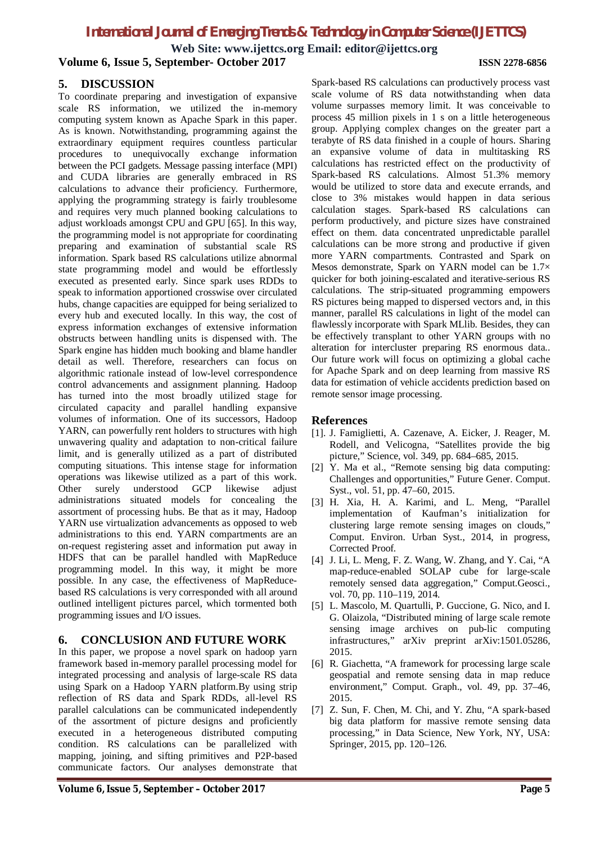**Web Site: www.ijettcs.org Email: editor@ijettcs.org**

#### **Volume 6, Issue 5, September- October 2017 ISSN 2278-6856**

# **5. DISCUSSION**

To coordinate preparing and investigation of expansive scale RS information, we utilized the in-memory computing system known as Apache Spark in this paper. As is known. Notwithstanding, programming against the extraordinary equipment requires countless particular procedures to unequivocally exchange information between the PCI gadgets. Message passing interface (MPI) and CUDA libraries are generally embraced in RS calculations to advance their proficiency. Furthermore, applying the programming strategy is fairly troublesome and requires very much planned booking calculations to adjust workloads amongst CPU and GPU [65]. In this way, the programming model is not appropriate for coordinating preparing and examination of substantial scale RS information. Spark based RS calculations utilize abnormal state programming model and would be effortlessly executed as presented early. Since spark uses RDDs to speak to information apportioned crosswise over circulated hubs, change capacities are equipped for being serialized to every hub and executed locally. In this way, the cost of express information exchanges of extensive information obstructs between handling units is dispensed with. The Spark engine has hidden much booking and blame handler detail as well. Therefore, researchers can focus on algorithmic rationale instead of low-level correspondence control advancements and assignment planning. Hadoop has turned into the most broadly utilized stage for circulated capacity and parallel handling expansive volumes of information. One of its successors, Hadoop YARN, can powerfully rent holders to structures with high unwavering quality and adaptation to non-critical failure limit, and is generally utilized as a part of distributed computing situations. This intense stage for information operations was likewise utilized as a part of this work.<br>Other surely understood GCP likewise adjust Other surely understood GCP likewise adjust administrations situated models for concealing the assortment of processing hubs. Be that as it may, Hadoop YARN use virtualization advancements as opposed to web administrations to this end. YARN compartments are an on-request registering asset and information put away in HDFS that can be parallel handled with MapReduce programming model. In this way, it might be more possible. In any case, the effectiveness of MapReducebased RS calculations is very corresponded with all around outlined intelligent pictures parcel, which tormented both programming issues and I/O issues.

# **6. CONCLUSION AND FUTURE WORK**

In this paper, we propose a novel spark on hadoop yarn framework based in-memory parallel processing model for integrated processing and analysis of large-scale RS data using Spark on a Hadoop YARN platform.By using strip reflection of RS data and Spark RDDs, all-level RS parallel calculations can be communicated independently of the assortment of picture designs and proficiently executed in a heterogeneous distributed computing condition. RS calculations can be parallelized with mapping, joining, and sifting primitives and P2P-based communicate factors. Our analyses demonstrate that

Spark-based RS calculations can productively process vast scale volume of RS data notwithstanding when data volume surpasses memory limit. It was conceivable to process 45 million pixels in 1 s on a little heterogeneous group. Applying complex changes on the greater part a terabyte of RS data finished in a couple of hours. Sharing an expansive volume of data in multitasking RS calculations has restricted effect on the productivity of Spark-based RS calculations. Almost 51.3% memory would be utilized to store data and execute errands, and close to 3% mistakes would happen in data serious calculation stages. Spark-based RS calculations can perform productively, and picture sizes have constrained effect on them. data concentrated unpredictable parallel calculations can be more strong and productive if given more YARN compartments. Contrasted and Spark on Mesos demonstrate, Spark on YARN model can be 1.7× quicker for both joining-escalated and iterative-serious RS calculations. The strip-situated programming empowers RS pictures being mapped to dispersed vectors and, in this manner, parallel RS calculations in light of the model can flawlessly incorporate with Spark MLlib. Besides, they can be effectively transplant to other YARN groups with no alteration for intercluster preparing RS enormous data.. Our future work will focus on optimizing a global cache for Apache Spark and on deep learning from massive RS data for estimation of vehicle accidents prediction based on remote sensor image processing.

#### **References**

- [1]. J. Famiglietti, A. Cazenave, A. Eicker, J. Reager, M. Rodell, and Velicogna, "Satellites provide the big picture," Science, vol. 349, pp. 684–685, 2015.
- [2] Y. Ma et al., "Remote sensing big data computing: Challenges and opportunities," Future Gener. Comput. Syst., vol. 51, pp. 47–60, 2015.
- [3] H. Xia, H. A. Karimi, and L. Meng, "Parallel implementation of Kaufman's initialization for clustering large remote sensing images on clouds," Comput. Environ. Urban Syst., 2014, in progress, Corrected Proof.
- [4] J. Li, L. Meng, F. Z. Wang, W. Zhang, and Y. Cai, "A map-reduce-enabled SOLAP cube for large-scale remotely sensed data aggregation," Comput.Geosci., vol. 70, pp. 110-119, 2014.
- [5] L. Mascolo, M. Quartulli, P. Guccione, G. Nico, and I. G. Olaizola, "Distributed mining of large scale remote sensing image archives on pub-lic computing infrastructures," arXiv preprint arXiv:1501.05286, 2015.
- [6] R. Giachetta, "A framework for processing large scale geospatial and remote sensing data in map reduce environment," Comput. Graph., vol. 49, pp. 37–46, 2015.
- [7] Z. Sun, F. Chen, M. Chi, and Y. Zhu, "A spark-based big data platform for massive remote sensing data processing," in Data Science, New York, NY, USA: Springer, 2015, pp. 120–126.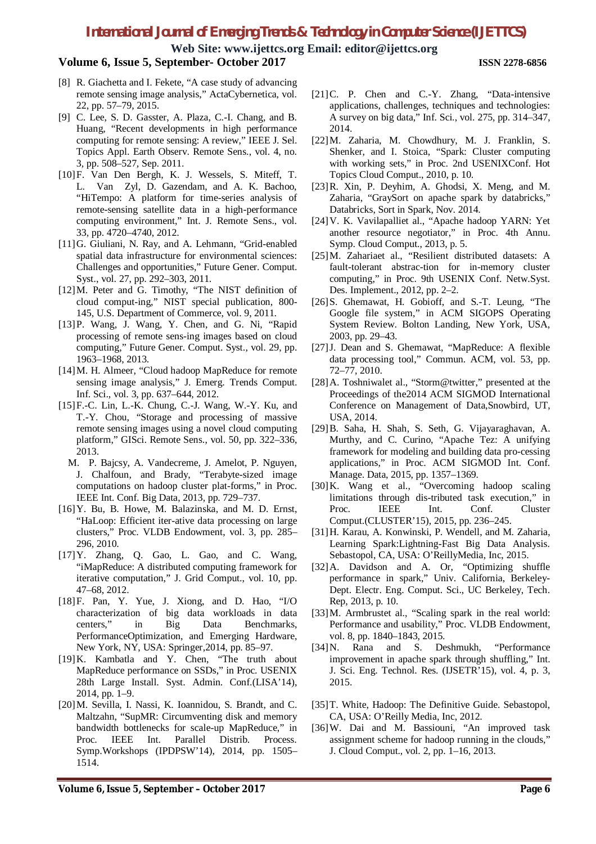**Web Site: www.ijettcs.org Email: editor@ijettcs.org**

# **Volume 6, Issue 5, September- October 2017 ISSN 2278-6856**

- [8] R. Giachetta and I. Fekete, "A case study of advancing remote sensing image analysis," ActaCybernetica, vol. 22, pp. 57–79, 2015.
- [9] C. Lee, S. D. Gasster, A. Plaza, C.-I. Chang, and B. Huang, "Recent developments in high performance computing for remote sensing: A review," IEEE J. Sel. Topics Appl. Earth Observ. Remote Sens., vol. 4, no. 3, pp. 508–527, Sep. 2011.
- [10]F. Van Den Bergh, K. J. Wessels, S. Miteff, T. L. Van Zyl, D. Gazendam, and A. K. Bachoo, "HiTempo: A platform for time-series analysis of remote-sensing satellite data in a high-performance computing environment," Int. J. Remote Sens., vol. 33, pp. 4720–4740, 2012.
- [11]G. Giuliani, N. Ray, and A. Lehmann, "Grid-enabled spatial data infrastructure for environmental sciences: Challenges and opportunities," Future Gener. Comput. Syst., vol. 27, pp. 292–303, 2011.
- [12]M. Peter and G. Timothy, "The NIST definition of cloud comput-ing," NIST special publication, 800- 145, U.S. Department of Commerce, vol. 9, 2011.
- [13]P. Wang, J. Wang, Y. Chen, and G. Ni, "Rapid processing of remote sens-ing images based on cloud computing," Future Gener. Comput. Syst., vol. 29, pp. 1963–1968, 2013.
- [14]M. H. Almeer, "Cloud hadoop MapReduce for remote sensing image analysis," J. Emerg. Trends Comput. Inf. Sci., vol. 3, pp. 637–644, 2012.
- [15]F.-C. Lin, L.-K. Chung, C.-J. Wang, W.-Y. Ku, and T.-Y. Chou, "Storage and processing of massive remote sensing images using a novel cloud computing platform," GISci. Remote Sens., vol. 50, pp. 322–336, 2013.
	- M. P. Bajcsy, A. Vandecreme, J. Amelot, P. Nguyen, J. Chalfoun, and Brady, "Terabyte-sized image computations on hadoop cluster plat-forms," in Proc. IEEE Int. Conf. Big Data, 2013, pp. 729–737.
- [16]Y. Bu, B. Howe, M. Balazinska, and M. D. Ernst, "HaLoop: Efficient iter-ative data processing on large clusters," Proc. VLDB Endowment, vol. 3, pp. 285– 296, 2010.
- [17]Y. Zhang, Q. Gao, L. Gao, and C. Wang, "iMapReduce: A distributed computing framework for iterative computation," J. Grid Comput., vol. 10, pp. 47–68, 2012.
- [18]F. Pan, Y. Yue, J. Xiong, and D. Hao, "I/O characterization of big data workloads in data centers," in Big Data Benchmarks, PerformanceOptimization, and Emerging Hardware, New York, NY, USA: Springer,2014, pp. 85–97.
- [19]K. Kambatla and Y. Chen, "The truth about MapReduce performance on SSDs," in Proc. USENIX 28th Large Install. Syst. Admin. Conf.(LISA'14), 2014, pp. 1–9.
- [20]M. Sevilla, I. Nassi, K. Ioannidou, S. Brandt, and C. Maltzahn, "SupMR: Circumventing disk and memory bandwidth bottlenecks for scale-up MapReduce," in Proc. IEEE Int. Parallel Distrib. Process. Symp.Workshops (IPDPSW'14), 2014, pp. 1505– 1514.
- [21] C. P. Chen and C.-Y. Zhang, "Data-intensive applications, challenges, techniques and technologies: A survey on big data," Inf. Sci., vol. 275, pp. 314–347, 2014.
- [22]M. Zaharia, M. Chowdhury, M. J. Franklin, S. Shenker, and I. Stoica, "Spark: Cluster computing with working sets," in Proc. 2nd USENIXConf. Hot Topics Cloud Comput., 2010, p. 10.
- [23]R. Xin, P. Deyhim, A. Ghodsi, X. Meng, and M. Zaharia, "GraySort on apache spark by databricks," Databricks, Sort in Spark, Nov. 2014.
- [24]V. K. Vavilapalliet al., "Apache hadoop YARN: Yet another resource negotiator," in Proc. 4th Annu. Symp. Cloud Comput., 2013, p. 5.
- [25]M. Zahariaet al., "Resilient distributed datasets: A fault-tolerant abstrac-tion for in-memory cluster computing," in Proc. 9th USENIX Conf. Netw.Syst. Des. Implement., 2012, pp. 2–2.
- [26]S. Ghemawat, H. Gobioff, and S.-T. Leung, "The Google file system," in ACM SIGOPS Operating System Review. Bolton Landing, New York, USA, 2003, pp. 29–43.
- [27]J. Dean and S. Ghemawat, "MapReduce: A flexible data processing tool," Commun. ACM, vol. 53, pp. 72–77, 2010.
- [28]A. Toshniwalet al., "Storm@twitter," presented at the Proceedings of the2014 ACM SIGMOD International Conference on Management of Data,Snowbird, UT, USA, 2014.
- [29]B. Saha, H. Shah, S. Seth, G. Vijayaraghavan, A. Murthy, and C. Curino, "Apache Tez: A unifying framework for modeling and building data pro-cessing applications," in Proc. ACM SIGMOD Int. Conf. Manage. Data, 2015, pp. 1357–1369.
- [30]K. Wang et al., "Overcoming hadoop scaling limitations through dis-tributed task execution," in Proc. IEEE Int. Conf. Cluster Comput.(CLUSTER'15), 2015, pp. 236–245.
- [31]H. Karau, A. Konwinski, P. Wendell, and M. Zaharia, Learning Spark:Lightning-Fast Big Data Analysis. Sebastopol, CA, USA: O'ReillyMedia, Inc, 2015.
- [32]A. Davidson and A. Or, "Optimizing shuffle performance in spark," Univ. California, Berkeley-Dept. Electr. Eng. Comput. Sci., UC Berkeley, Tech. Rep, 2013, p. 10.
- [33]M. Armbrustet al., "Scaling spark in the real world: Performance and usability," Proc. VLDB Endowment, vol. 8, pp. 1840–1843, 2015.
- [34]N. Rana and S. Deshmukh, "Performance improvement in apache spark through shuffling," Int. J. Sci. Eng. Technol. Res. (IJSETR'15), vol. 4, p. 3, 2015.
- [35]T. White, Hadoop: The Definitive Guide. Sebastopol, CA, USA: O'Reilly Media, Inc, 2012.
- [36]W. Dai and M. Bassiouni, "An improved task assignment scheme for hadoop running in the clouds," J. Cloud Comput., vol. 2, pp. 1–16, 2013.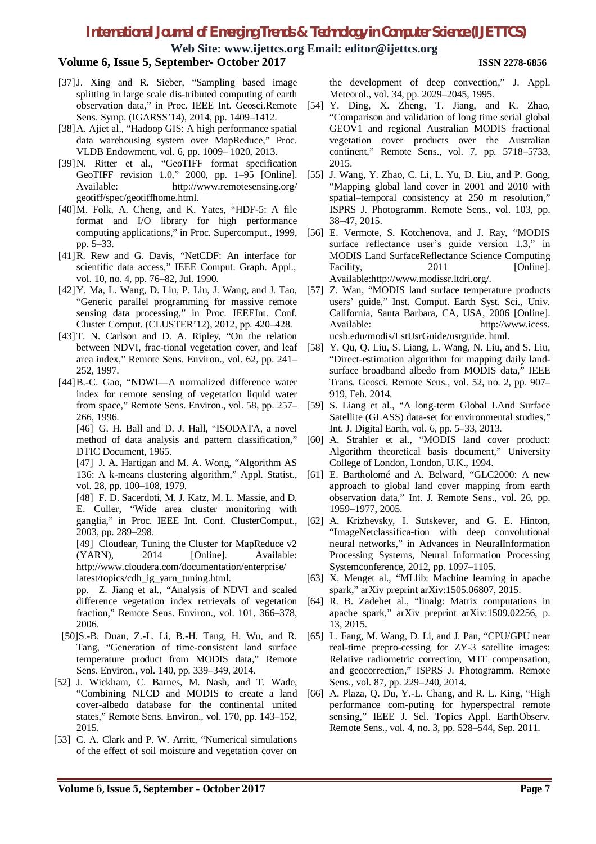**Web Site: www.ijettcs.org Email: editor@ijettcs.org**

# **Volume 6, Issue 5, September- October 2017 ISSN 2278-6856**

- [37]J. Xing and R. Sieber, "Sampling based image splitting in large scale dis-tributed computing of earth Sens. Symp. (IGARSS'14), 2014, pp. 1409–1412.
- [38]A. Ajiet al., "Hadoop GIS: A high performance spatial data warehousing system over MapReduce," Proc. VLDB Endowment, vol. 6, pp. 1009– 1020, 2013.
- [39]N. Ritter et al., "GeoTIFF format specification GeoTIFF revision 1.0," 2000, pp. 1–95 [Online]. Available: http://www.remotesensing.org/ geotiff/spec/geotiffhome.html.
- [40]M. Folk, A. Cheng, and K. Yates, "HDF-5: A file format and I/O library for high performance computing applications," in Proc. Supercomput., 1999, pp. 5–33.
- [41]R. Rew and G. Davis, "NetCDF: An interface for scientific data access," IEEE Comput. Graph. Appl., vol. 10, no. 4, pp. 76–82, Jul. 1990.
- [42]Y. Ma, L. Wang, D. Liu, P. Liu, J. Wang, and J. Tao, "Generic parallel programming for massive remote sensing data processing," in Proc. IEEEInt. Conf. Cluster Comput. (CLUSTER'12), 2012, pp. 420–428.
- [43]T. N. Carlson and D. A. Ripley, "On the relation between NDVI, frac-tional vegetation cover, and leaf area index," Remote Sens. Environ., vol. 62, pp. 241– 252, 1997.
- [44]B.-C. Gao, "NDWI—A normalized difference water index for remote sensing of vegetation liquid water from space," Remote Sens. Environ., vol. 58, pp. 257– 266, 1996.

[46] G. H. Ball and D. J. Hall, "ISODATA, a novel method of data analysis and pattern classification," DTIC Document, 1965.

[47] J. A. Hartigan and M. A. Wong, "Algorithm AS 136: A k-means clustering algorithm," Appl. Statist., vol. 28, pp. 100-108, 1979.

[48] F. D. Sacerdoti, M. J. Katz, M. L. Massie, and D. E. Culler, "Wide area cluster monitoring with ganglia," in Proc. IEEE Int. Conf. ClusterComput., 2003, pp. 289–298.

[49] Cloudear, Tuning the Cluster for MapReduce v2 (YARN), 2014 [Online]. Available: http://www.cloudera.com/documentation/enterprise/ latest/topics/cdh\_ig\_yarn\_tuning.html.

pp. Z. Jiang et al., "Analysis of NDVI and scaled fraction," Remote Sens. Environ., vol. 101, 366–378, 2006.

- [50]S.-B. Duan, Z.-L. Li, B.-H. Tang, H. Wu, and R. Tang, "Generation of time-consistent land surface temperature product from MODIS data," Remote Sens. Environ., vol. 140, pp. 339–349, 2014.
- [52] J. Wickham, C. Barnes, M. Nash, and T. Wade, "Combining NLCD and MODIS to create a land cover-albedo database for the continental united states," Remote Sens. Environ., vol. 170, pp. 143–152, 2015.
- [53] C. A. Clark and P. W. Arritt, "Numerical simulations of the effect of soil moisture and vegetation cover on

the development of deep convection," J. Appl. Meteorol., vol. 34, pp. 2029–2045, 1995.

- observation data," in Proc. IEEE Int. Geosci.Remote [54] Y. Ding, X. Zheng, T. Jiang, and K. Zhao, "Comparison and validation of long time serial global GEOV1 and regional Australian MODIS fractional vegetation cover products over the Australian continent," Remote Sens., vol. 7, pp. 5718–5733, 2015.
	- [55] J. Wang, Y. Zhao, C. Li, L. Yu, D. Liu, and P. Gong, "Mapping global land cover in 2001 and 2010 with spatial–temporal consistency at 250 m resolution," ISPRS J. Photogramm. Remote Sens., vol. 103, pp. 38–47, 2015.
	- [56] E. Vermote, S. Kotchenova, and J. Ray, "MODIS surface reflectance user's guide version 1.3," in MODIS Land SurfaceReflectance Science Computing Facility, 2011 [Online]. Available:http://www.modissr.ltdri.org/.
	- [57] Z. Wan, "MODIS land surface temperature products users' guide," Inst. Comput. Earth Syst. Sci., Univ. California, Santa Barbara, CA, USA, 2006 [Online]. Available: http://www.icess. ucsb.edu/modis/LstUsrGuide/usrguide. html.
	- [58] Y. Qu, Q. Liu, S. Liang, L. Wang, N. Liu, and S. Liu, "Direct-estimation algorithm for mapping daily landsurface broadband albedo from MODIS data," IEEE Trans. Geosci. Remote Sens., vol. 52, no. 2, pp. 907– 919, Feb. 2014.
	- [59] S. Liang et al., "A long-term Global LAnd Surface Satellite (GLASS) data-set for environmental studies," Int. J. Digital Earth, vol. 6, pp. 5–33, 2013.
	- [60] A. Strahler et al., "MODIS land cover product: Algorithm theoretical basis document," University College of London, London, U.K., 1994.
	- [61] E. Bartholomé and A. Belward, "GLC2000: A new approach to global land cover mapping from earth observation data," Int. J. Remote Sens., vol. 26, pp. 1959–1977, 2005.
	- [62] A. Krizhevsky, I. Sutskever, and G. E. Hinton, "ImageNetclassifica-tion with deep convolutional neural networks," in Advances in NeuralInformation Processing Systems, Neural Information Processing Systemconference, 2012, pp. 1097–1105.
	- [63] X. Menget al., "MLlib: Machine learning in apache spark," arXiv preprint arXiv:1505.06807, 2015.
- difference vegetation index retrievals of vegetation [64] R. B. Zadehet al., "linalg: Matrix computations in apache spark," arXiv preprint arXiv:1509.02256, p. 13, 2015.
	- [65] L. Fang, M. Wang, D. Li, and J. Pan, "CPU/GPU near real-time prepro-cessing for ZY-3 satellite images: Relative radiometric correction, MTF compensation, and geocorrection," ISPRS J. Photogramm. Remote Sens., vol. 87, pp. 229–240, 2014.
	- [66] A. Plaza, Q. Du, Y.-L. Chang, and R. L. King, "High performance com-puting for hyperspectral remote sensing," IEEE J. Sel. Topics Appl. EarthObserv. Remote Sens., vol. 4, no. 3, pp. 528–544, Sep. 2011.